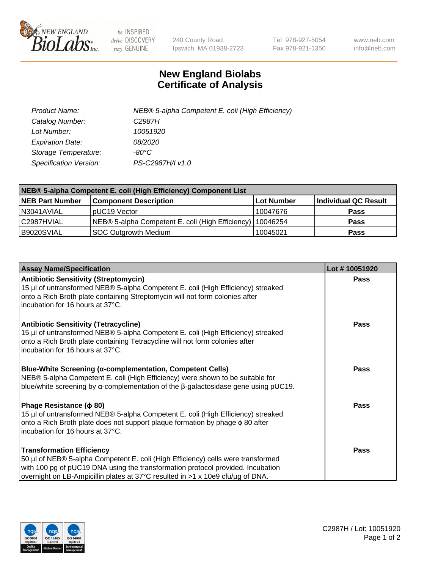

 $be$  INSPIRED drive DISCOVERY stay GENUINE

240 County Road Ipswich, MA 01938-2723 Tel 978-927-5054 Fax 978-921-1350 www.neb.com info@neb.com

## **New England Biolabs Certificate of Analysis**

| Product Name:           | NEB® 5-alpha Competent E. coli (High Efficiency) |
|-------------------------|--------------------------------------------------|
| Catalog Number:         | C <sub>2987</sub> H                              |
| Lot Number:             | 10051920                                         |
| <b>Expiration Date:</b> | <i>08/2020</i>                                   |
| Storage Temperature:    | -80°C                                            |
| Specification Version:  | PS-C2987H/I v1.0                                 |

| NEB® 5-alpha Competent E. coli (High Efficiency) Component List |                                                  |            |                      |  |
|-----------------------------------------------------------------|--------------------------------------------------|------------|----------------------|--|
| <b>NEB Part Number</b>                                          | <b>Component Description</b>                     | Lot Number | Individual QC Result |  |
| N3041AVIAL                                                      | pUC19 Vector                                     | 10047676   | <b>Pass</b>          |  |
| C2987HVIAL                                                      | NEB® 5-alpha Competent E. coli (High Efficiency) | 10046254   | <b>Pass</b>          |  |
| B9020SVIAL                                                      | <b>SOC Outgrowth Medium</b>                      | 10045021   | <b>Pass</b>          |  |

| <b>Assay Name/Specification</b>                                                                                                                                                                                                                                                           | Lot #10051920 |
|-------------------------------------------------------------------------------------------------------------------------------------------------------------------------------------------------------------------------------------------------------------------------------------------|---------------|
| <b>Antibiotic Sensitivity (Streptomycin)</b><br>15 µl of untransformed NEB® 5-alpha Competent E. coli (High Efficiency) streaked<br>onto a Rich Broth plate containing Streptomycin will not form colonies after<br>incubation for 16 hours at 37°C.                                      | <b>Pass</b>   |
| <b>Antibiotic Sensitivity (Tetracycline)</b><br>15 µl of untransformed NEB® 5-alpha Competent E. coli (High Efficiency) streaked<br>onto a Rich Broth plate containing Tetracycline will not form colonies after<br>incubation for 16 hours at 37°C.                                      | Pass          |
| <b>Blue-White Screening (α-complementation, Competent Cells)</b><br>NEB® 5-alpha Competent E. coli (High Efficiency) were shown to be suitable for<br>blue/white screening by $\alpha$ -complementation of the $\beta$ -galactosidase gene using pUC19.                                   | Pass          |
| Phage Resistance ( $\phi$ 80)<br>15 µl of untransformed NEB® 5-alpha Competent E. coli (High Efficiency) streaked<br>onto a Rich Broth plate does not support plaque formation by phage φ 80 after<br>incubation for 16 hours at 37°C.                                                    | Pass          |
| <b>Transformation Efficiency</b><br>50 µl of NEB® 5-alpha Competent E. coli (High Efficiency) cells were transformed<br>with 100 pg of pUC19 DNA using the transformation protocol provided. Incubation<br>overnight on LB-Ampicillin plates at 37°C resulted in >1 x 10e9 cfu/μg of DNA. | Pass          |